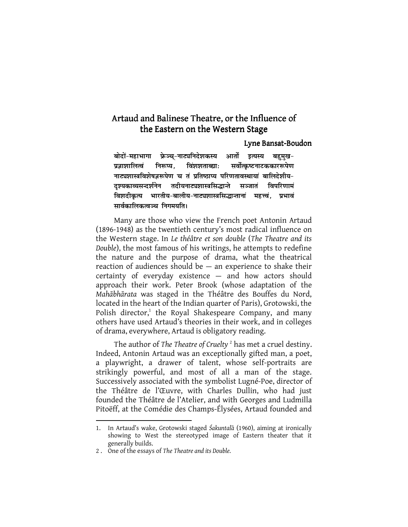## Artaud and Balinese Theatre, or the Influence of the Eastern on the Western Stage

## Lyne Bansat-Boudon

बोदों-महाभागा फ्रेञ्च्-नाट्यनिदेशकस्य आर्तो इत्यस्य बहुमुख-प्रज्ञाशालित्वं निरूप्य, विंशशताब्द्याः सर्वोत्कृष्टनाटककाररूपेण नाट्यशास्त्रविशेषज्ञरूपेण च तं प्रतिष्ठाप्य परिणतावस्थायां बालिदेशीय-दृश्यकाव्यसन्दर्शनेन तदीयनाट्यशास्त्रसिद्धान्ते सञ्जातं विपरिणामं *f*aशदीकृत्य भारतीय-बालीय-नाट्यशास्त्रसिद्धान्तानां महत्त्वं, प्रभावं *lkoZdkfydRo×p fuxe;frA* 

Many are those who view the French poet Antonin Artaud (1896-1948) as the twentieth century's most radical influence on the Western stage. In *Le théâtre et son double* (*The Theatre and its Double*), the most famous of his writings, he attempts to redefine the nature and the purpose of drama, what the theatrical reaction of audiences should be  $-$  an experience to shake their certainty of everyday existence — and how actors should approach their work. Peter Brook (whose adaptation of the *Mahābhārata* was staged in the Théâtre des Bouffes du Nord, located in the heart of the Indian quarter of Paris), Grotowski, the Polish director,<sup>1</sup> the Royal Shakespeare Company, and many others have used Artaud's theories in their work, and in colleges of drama, everywhere, Artaud is obligatory reading.

The author of *The Theatre of Cruelty* <sup>2</sup> has met a cruel destiny. Indeed, Antonin Artaud was an exceptionally gifted man, a poet, a playwright, a drawer of talent, whose self-portraits are strikingly powerful, and most of all a man of the stage. Successively associated with the symbolist Lugné-Poe, director of the Théâtre de l'Œuvre, with Charles Dullin, who had just founded the Théâtre de l'Atelier, and with Georges and Ludmilla Pitoëff, at the Comédie des Champs-Élysées, Artaud founded and

<sup>1.</sup> In Artaud's wake, Grotowski staged *Śakuntala*̄ (1960), aiming at ironically showing to West the stereotyped image of Eastern theater that it generally builds.

<sup>2 .</sup> One of the essays of *The Theatre and its Double.*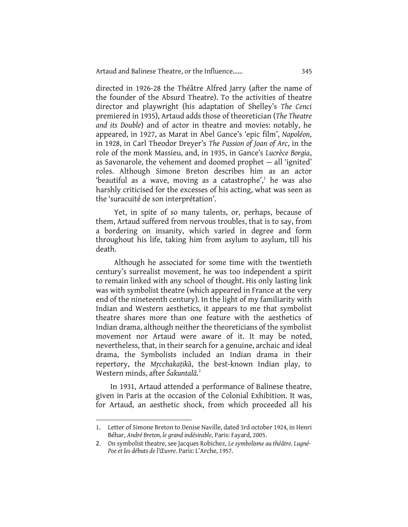directed in 1926-28 the Théâtre Alfred Jarry (after the name of the founder of the Absurd Theatre). To the activities of theatre director and playwright (his adaptation of Shelley's *The Cenci* premiered in 1935), Artaud adds those of theoretician (*The Theatre and its Double*) and of actor in theatre and movies: notably, he appeared, in 1927, as Marat in Abel Gance's 'epic film', *Napoléon*, in 1928, in Carl Theodor Dreyer's *The Passion of Joan of Arc*, in the role of the monk Massieu, and, in 1935, in Gance's *Lucrèce Borgia*, as Savonarole, the vehement and doomed prophet — all 'ignited' roles. Although Simone Breton describes him as an actor 'beautiful as a wave, moving as a catastrophe',<sup>1</sup> he was also harshly criticised for the excesses of his acting, what was seen as the 'suracuité de son interprétation'.

Yet, in spite of so many talents, or, perhaps, because of them, Artaud suffered from nervous troubles, that is to say, from a bordering on insanity, which varied in degree and form throughout his life, taking him from asylum to asylum, till his death.

Although he associated for some time with the twentieth century's surrealist movement, he was too independent a spirit to remain linked with any school of thought. His only lasting link was with symbolist theatre (which appeared in France at the very end of the nineteenth century). In the light of my familiarity with Indian and Western aesthetics, it appears to me that symbolist theatre shares more than one feature with the aesthetics of Indian drama, although neither the theoreticians of the symbolist movement nor Artaud were aware of it. It may be noted, nevertheless, that, in their search for a genuine, archaic and ideal drama, the Symbolists included an Indian drama in their repertory, the *Mr̥cchakaṭika*̄, the best-known Indian play, to Western minds, after *Śakuntalā*. 2

In 1931, Artaud attended a performance of Balinese theatre, given in Paris at the occasion of the Colonial Exhibition. It was, for Artaud, an aesthetic shock, from which proceeded all his

<sup>1.</sup> Letter of Simone Breton to Denise Naville, dated 3rd october 1924, in Henri Béhar, *André Breton, le grand indésirable*, Paris: Fayard, 2005.

<sup>2.</sup> On symbolist theatre, see Jacques Robichez, *Le symbolisme au théâtre. Lugné-Poe et les débuts de l'Œuvre*. Paris: L'Arche, 1957.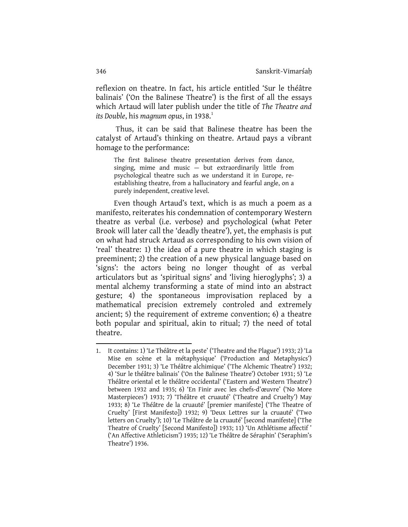reflexion on theatre. In fact, his article entitled 'Sur le théâtre balinais' ('On the Balinese Theatre') is the first of all the essays which Artaud will later publish under the title of *The Theatre and its Double, his magnum opus, in 1938.*<sup>1</sup>

 Thus, it can be said that Balinese theatre has been the catalyst of Artaud's thinking on theatre. Artaud pays a vibrant homage to the performance:

The first Balinese theatre presentation derives from dance, singing, mime and music — but extraordinarily little from psychological theatre such as we understand it in Europe, reestablishing theatre, from a hallucinatory and fearful angle, on a purely independent, creative level.

Even though Artaud's text, which is as much a poem as a manifesto, reiterates his condemnation of contemporary Western theatre as verbal (i.e. verbose) and psychological (what Peter Brook will later call the 'deadly theatre'), yet, the emphasis is put on what had struck Artaud as corresponding to his own vision of 'real' theatre: 1) the idea of a pure theatre in which staging is preeminent; 2) the creation of a new physical language based on 'signs': the actors being no longer thought of as verbal articulators but as 'spiritual signs' and 'living hieroglyphs'; 3) a mental alchemy transforming a state of mind into an abstract gesture; 4) the spontaneous improvisation replaced by a mathematical precision extremely controled and extremely ancient; 5) the requirement of extreme convention; 6) a theatre both popular and spiritual, akin to ritual; 7) the need of total theatre.

l

<sup>1.</sup> It contains: 1) 'Le Théâtre et la peste' ('Theatre and the Plague') 1933; 2) 'La Mise en scène et la métaphysique' ('Production and Metaphysics') December 1931; 3) 'Le Théâtre alchimique' ('The Alchemic Theatre') 1932; 4) 'Sur le théâtre balinais' ('On the Balinese Theatre') October 1931; 5) 'Le Théâtre oriental et le théâtre occidental' ('Eastern and Western Theatre') between 1932 and 1935; 6) 'En Finir avec les chefs-d'œuvre' ('No More Masterpieces') 1933; 7) 'Théâtre et cruauté' ('Theatre and Cruelty') May 1933; 8) 'Le Théâtre de la cruauté' [premier manifeste] ('The Theatre of Cruelty' [First Manifesto]) 1932; 9) 'Deux Lettres sur la cruauté' ('Two letters on Cruelty'); 10) 'Le Théâtre de la cruauté' [second manifeste] ('The Theatre of Cruelty' [Second Manifesto]) 1933; 11) 'Un Athlétisme affectif ' ('An Affective Athleticism') 1935; 12) 'Le Théâtre de Séraphin' ('Seraphim's Theatre') 1936.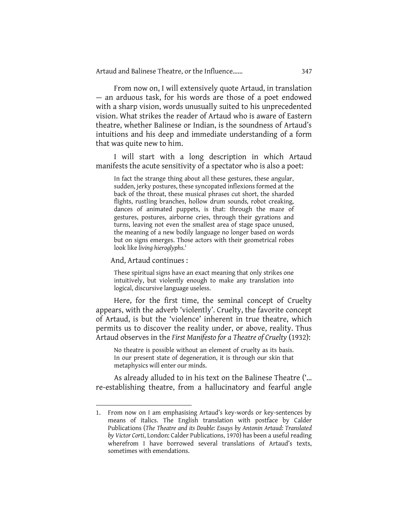From now on, I will extensively quote Artaud, in translation — an arduous task, for his words are those of a poet endowed with a sharp vision, words unusually suited to his unprecedented vision. What strikes the reader of Artaud who is aware of Eastern theatre, whether Balinese or Indian, is the soundness of Artaud's intuitions and his deep and immediate understanding of a form that was quite new to him.

I will start with a long description in which Artaud manifests the acute sensitivity of a spectator who is also a poet:

In fact the strange thing about all these gestures, these angular, sudden, jerky postures, these syncopated inflexions formed at the back of the throat, these musical phrases cut short, the sharded flights, rustling branches, hollow drum sounds, robot creaking, dances of animated puppets, is that: through the maze of gestures, postures, airborne cries, through their gyrations and turns, leaving not even the smallest area of stage space unused, the meaning of a new bodily language no longer based on words but on signs emerges. Those actors with their geometrical robes look like *living hieroglyphs*. 1

And, Artaud continues :

l

These spiritual signs have an exact meaning that only strikes one intuitively, but violently enough to make any translation into logical, discursive language useless.

Here, for the first time, the seminal concept of Cruelty appears, with the adverb 'violently'. Cruelty, the favorite concept of Artaud, is but the 'violence' inherent in true theatre, which permits us to discover the reality under, or above, reality. Thus Artaud observes in the *First Manifesto for a Theatre of Cruelty* (1932):

No theatre is possible without an element of cruelty as its basis. In our present state of degeneration, it is through our skin that metaphysics will enter our minds.

As already alluded to in his text on the Balinese Theatre ('… re-establishing theatre, from a hallucinatory and fearful angle

<sup>1.</sup> From now on I am emphasising Artaud's key-words or key-sentences by means of italics. The English translation with postface by Calder Publications (*The Theatre and its Double: Essays by Antonin Artaud: Translated by Victor Corti*, London: Calder Publications, 1970) has been a useful reading wherefrom I have borrowed several translations of Artaud's texts, sometimes with emendations.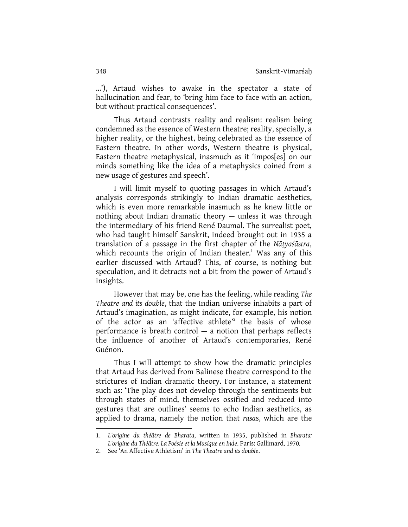…'), Artaud wishes to awake in the spectator a state of hallucination and fear, to 'bring him face to face with an action, but without practical consequences'.

Thus Artaud contrasts reality and realism: realism being condemned as the essence of Western theatre; reality, specially, a higher reality, or the highest, being celebrated as the essence of Eastern theatre. In other words, Western theatre is physical, Eastern theatre metaphysical, inasmuch as it 'impos[es] on our minds something like the idea of a metaphysics coined from a new usage of gestures and speech'.

I will limit myself to quoting passages in which Artaud's analysis corresponds strikingly to Indian dramatic aesthetics, which is even more remarkable inasmuch as he knew little or nothing about Indian dramatic theory — unless it was through the intermediary of his friend René Daumal. The surrealist poet, who had taught himself Sanskrit, indeed brought out in 1935 a translation of a passage in the first chapter of the *Nāṭyaśāstra*, which recounts the origin of Indian theater.<sup>1</sup> Was any of this earlier discussed with Artaud? This, of course, is nothing but speculation, and it detracts not a bit from the power of Artaud's insights.

However that may be, one has the feeling, while reading *The Theatre and its double*, that the Indian universe inhabits a part of Artaud's imagination, as might indicate, for example, his notion of the actor as an 'affective athlete<sup>2</sup> the basis of whose performance is breath control — a notion that perhaps reflects the influence of another of Artaud's contemporaries, René Guénon.

Thus I will attempt to show how the dramatic principles that Artaud has derived from Balinese theatre correspond to the strictures of Indian dramatic theory. For instance, a statement such as: 'The play does not develop through the sentiments but through states of mind, themselves ossified and reduced into gestures that are outlines' seems to echo Indian aesthetics, as applied to drama, namely the notion that *rasa*s, which are the

<sup>1.</sup> *L'origine du théâtre de Bharata*, written in 1935, published in *Bharata: L'origine du Théâtre. La Poésie et la Musique en Inde*. Paris: Gallimard, 1970.

<sup>2.</sup> See 'An Affective Athletism' in *The Theatre and its double*.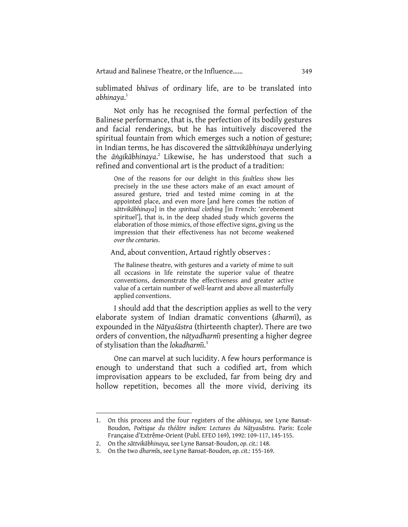sublimated *bhāva*s of ordinary life, are to be translated into *abhinaya*. 1

Not only has he recognised the formal perfection of the Balinese performance, that is, the perfection of its bodily gestures and facial renderings, but he has intuitively discovered the spiritual fountain from which emerges such a notion of gesture; in Indian terms, he has discovered the *sāttvikābhinaya* underlying the *āṅgikābhinaya.*<sup>2</sup> Likewise, he has understood that such a refined and conventional art is the product of a tradition:

One of the reasons for our delight in this *faultless* show lies precisely in the use these actors make of an exact amount of assured gesture, tried and tested mime coming in at the appointed place, and even more [and here comes the notion of *sāttvikābhinaya*] in the *spiritual clothing* [in French: 'enrobement spirituel'], that is, in the deep shaded study which governs the elaboration of those mimics, of those effective signs, giving us the impression that their effectiveness has not become weakened *over the centuries*.

And, about convention, Artaud rightly observes :

The Balinese theatre, with gestures and a variety of mime to suit all occasions in life reinstate the superior value of theatre conventions, demonstrate the effectiveness and greater active value of a certain number of well-learnt and above all masterfully applied conventions.

I should add that the description applies as well to the very elaborate system of Indian dramatic conventions (*dharmı̄*), as expounded in the *Nāṭyaśāstra* (thirteenth chapter). There are two orders of convention, the *nāṭyadharmı*̄ presenting a higher degree of stylisation than the *lokadharmı*̄. 3

One can marvel at such lucidity. A few hours performance is enough to understand that such a codified art, from which improvisation appears to be excluded, far from being dry and hollow repetition, becomes all the more vivid, deriving its

<sup>1.</sup> On this process and the four registers of the *abhinaya*, see Lyne Bansat-Boudon, *Poétique du théâtre indien: Lectures du Nāṭyasá̄stra*. Paris: Ecole Française d'Extrême-Orient (Publ. EFEO 169), 1992: 109-117, 145-155.

<sup>2.</sup> On the *sāttvikābhinaya*, see Lyne Bansat-Boudon, *op. cit.*: 148.

<sup>3.</sup> On the two *dharmı̄*s, see Lyne Bansat-Boudon, *op. cit.*: 155-169.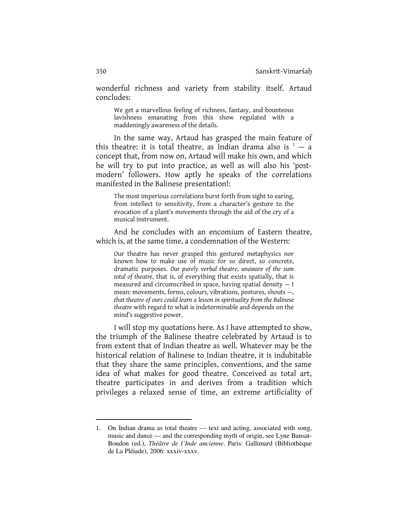wonderful richness and variety from stability itself. Artaud concludes:

We get a marvellous feeling of richness, fantasy, and bounteous lavishness emanating from this show regulated with a maddeningly awareness of the details.

In the same way, Artaud has grasped the main feature of this theatre: it is total theatre, as Indian drama also is  $1 - a$ concept that, from now on, Artaud will make his own, and which he will try to put into practice, as well as will also his 'postmodern' followers. How aptly he speaks of the correlations manifested in the Balinese presentation!:

The most imperious correlations burst forth from sight to earing, from intellect to sensitivity, from a character's gesture to the evocation of a plant's movements through the aid of the cry of a musical instrument.

And he concludes with an encomium of Eastern theatre, which is, at the same time, a condemnation of the Western:

Our theatre has never grasped this gestured metaphysics nor known how to make use of music for so direct, so concrete, dramatic purposes. *Our purely verbal theatre, unaware of the sum total of theatre*, that is, of everything that exists spatially, that is measured and circumscribed in space, having spatial density — I mean: movements, forms, colours, vibrations, postures, shouts —, *that theatre of ours could learn a lesson in spirituality from the Balinese theatre* with regard to what is indeterminable and depends on the mind's suggestive power.

I will stop my quotations here. As I have attempted to show, the triumph of the Balinese theatre celebrated by Artaud is to from extent that of Indian theatre as well. Whatever may be the historical relation of Balinese to Indian theatre, it is indubitable that they share the same principles, conventions, and the same idea of what makes for good theatre. Conceived as total art, theatre participates in and derives from a tradition which privileges a relaxed sense of time, an extreme artificiality of

l

<sup>1</sup>. On Indian drama as total theatre — text and acting, associated with song, music and dance — and the corresponding myth of origin, see Lyne Bansat-Boudon (ed.), *Théâtre de l'Inde ancienne*. Paris: Gallimard (Bibliothèque de La Pléiade), 2006: xxxiv-xxxv.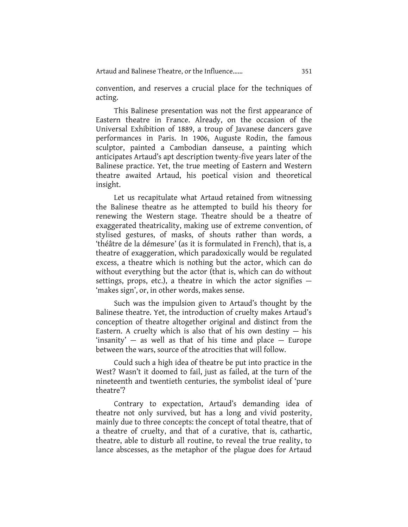convention, and reserves a crucial place for the techniques of acting.

This Balinese presentation was not the first appearance of Eastern theatre in France. Already, on the occasion of the Universal Exhibition of 1889, a troup of Javanese dancers gave performances in Paris. In 1906, Auguste Rodin, the famous sculptor, painted a Cambodian danseuse, a painting which anticipates Artaud's apt description twenty-five years later of the Balinese practice. Yet, the true meeting of Eastern and Western theatre awaited Artaud, his poetical vision and theoretical insight.

Let us recapitulate what Artaud retained from witnessing the Balinese theatre as he attempted to build his theory for renewing the Western stage. Theatre should be a theatre of exaggerated theatricality, making use of extreme convention, of stylised gestures, of masks, of shouts rather than words, a 'théâtre de la démesure' (as it is formulated in French), that is, a theatre of exaggeration, which paradoxically would be regulated excess, a theatre which is nothing but the actor, which can do without everything but the actor (that is, which can do without settings, props, etc.), a theatre in which the actor signifies — 'makes sign', or, in other words, makes sense.

Such was the impulsion given to Artaud's thought by the Balinese theatre. Yet, the introduction of cruelty makes Artaud's conception of theatre altogether original and distinct from the Eastern. A cruelty which is also that of his own destiny  $-$  his 'insanity'  $-$  as well as that of his time and place  $-$  Europe between the wars, source of the atrocities that will follow.

Could such a high idea of theatre be put into practice in the West? Wasn't it doomed to fail, just as failed, at the turn of the nineteenth and twentieth centuries, the symbolist ideal of 'pure theatre'?

Contrary to expectation, Artaud's demanding idea of theatre not only survived, but has a long and vivid posterity, mainly due to three concepts: the concept of total theatre, that of a theatre of cruelty, and that of a curative, that is, cathartic, theatre, able to disturb all routine, to reveal the true reality, to lance abscesses, as the metaphor of the plague does for Artaud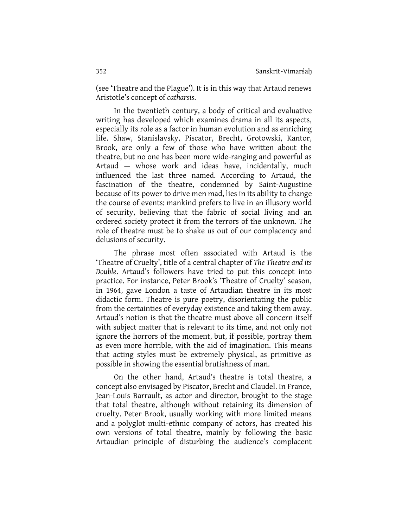(see 'Theatre and the Plague'). It is in this way that Artaud renews Aristotle's concept of *catharsis*.

In the twentieth century, a body of critical and evaluative writing has developed which examines drama in all its aspects, especially its role as a factor in human evolution and as enriching life. Shaw, Stanislavsky, Piscator, Brecht, Grotowski, Kantor, Brook, are only a few of those who have written about the theatre, but no one has been more wide-ranging and powerful as Artaud — whose work and ideas have, incidentally, much influenced the last three named. According to Artaud, the fascination of the theatre, condemned by Saint-Augustine because of its power to drive men mad, lies in its ability to change the course of events: mankind prefers to live in an illusory world of security, believing that the fabric of social living and an ordered society protect it from the terrors of the unknown. The role of theatre must be to shake us out of our complacency and delusions of security.

The phrase most often associated with Artaud is the 'Theatre of Cruelty', title of a central chapter of *The Theatre and its Double*. Artaud's followers have tried to put this concept into practice. For instance, Peter Brook's 'Theatre of Cruelty' season, in 1964, gave London a taste of Artaudian theatre in its most didactic form. Theatre is pure poetry, disorientating the public from the certainties of everyday existence and taking them away. Artaud's notion is that the theatre must above all concern itself with subject matter that is relevant to its time, and not only not ignore the horrors of the moment, but, if possible, portray them as even more horrible, with the aid of imagination. This means that acting styles must be extremely physical, as primitive as possible in showing the essential brutishness of man.

On the other hand, Artaud's theatre is total theatre, a concept also envisaged by Piscator, Brecht and Claudel. In France, Jean-Louis Barrault, as actor and director, brought to the stage that total theatre, although without retaining its dimension of cruelty. Peter Brook, usually working with more limited means and a polyglot multi-ethnic company of actors, has created his own versions of total theatre, mainly by following the basic Artaudian principle of disturbing the audience's complacent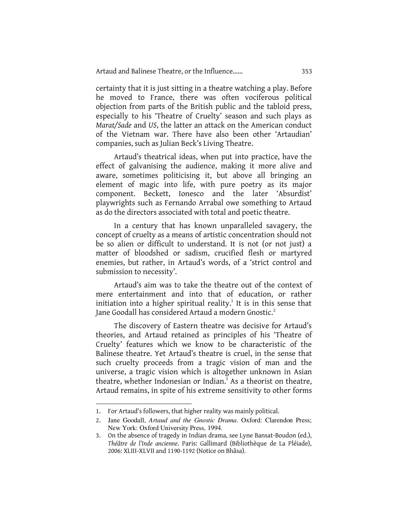certainty that it is just sitting in a theatre watching a play. Before he moved to France, there was often vociferous political objection from parts of the British public and the tabloid press, especially to his 'Theatre of Cruelty' season and such plays as *Marat/Sade* and *US*, the latter an attack on the American conduct of the Vietnam war. There have also been other 'Artaudian' companies, such as Julian Beck's Living Theatre.

Artaud's theatrical ideas, when put into practice, have the effect of galvanising the audience, making it more alive and aware, sometimes politicising it, but above all bringing an element of magic into life, with pure poetry as its major component. Beckett, Ionesco and the later 'Absurdist' playwrights such as Fernando Arrabal owe something to Artaud as do the directors associated with total and poetic theatre.

In a century that has known unparalleled savagery, the concept of cruelty as a means of artistic concentration should not be so alien or difficult to understand. It is not (or not just) a matter of bloodshed or sadism, crucified flesh or martyred enemies, but rather, in Artaud's words, of a 'strict control and submission to necessity'.

Artaud's aim was to take the theatre out of the context of mere entertainment and into that of education, or rather initiation into a higher spiritual reality. $<sup>1</sup>$  It is in this sense that</sup> Jane Goodall has considered Artaud a modern Gnostic. $^2$ 

The discovery of Eastern theatre was decisive for Artaud's theories, and Artaud retained as principles of his 'Theatre of Cruelty' features which we know to be characteristic of the Balinese theatre. Yet Artaud's theatre is cruel, in the sense that such cruelty proceeds from a tragic vision of man and the universe, a tragic vision which is altogether unknown in Asian theatre, whether Indonesian or Indian.<sup>3</sup> As a theorist on theatre, Artaud remains, in spite of his extreme sensitivity to other forms

l

<sup>1.</sup> For Artaud's followers, that higher reality was mainly political.

<sup>2</sup>. Jane Goodall, *Artaud and the Gnostic Drama*. Oxford: Clarendon Press; New York: Oxford University Press, 1994.

<sup>3.</sup> On the absence of tragedy in Indian drama, see Lyne Bansat-Boudon (ed.), *Théâtre de l'Inde ancienne*. Paris: Gallimard (Bibliothèque de La Pléiade), 2006: XLIII-XLVII and 1190-1192 (Notice on Bhāsa).